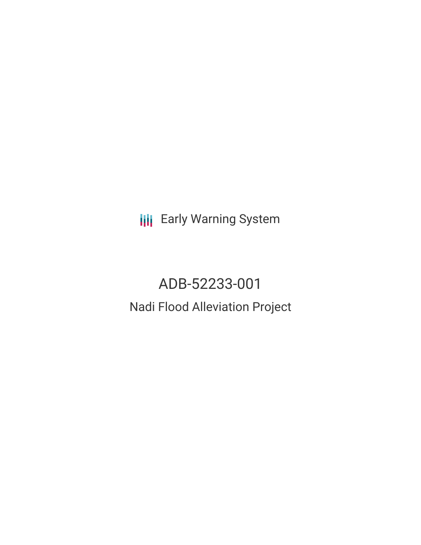**III** Early Warning System

ADB-52233-001 Nadi Flood Alleviation Project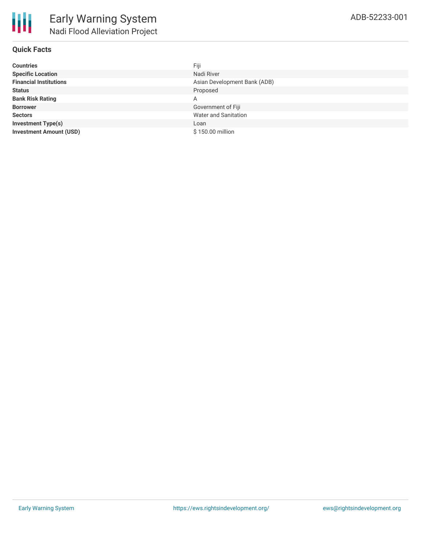## **Quick Facts**

| <b>Countries</b>               | Fiji                         |
|--------------------------------|------------------------------|
| <b>Specific Location</b>       | Nadi River                   |
| <b>Financial Institutions</b>  | Asian Development Bank (ADB) |
| <b>Status</b>                  | Proposed                     |
| <b>Bank Risk Rating</b>        | A                            |
| <b>Borrower</b>                | Government of Fiji           |
| <b>Sectors</b>                 | <b>Water and Sanitation</b>  |
| <b>Investment Type(s)</b>      | Loan                         |
| <b>Investment Amount (USD)</b> | \$150.00 million             |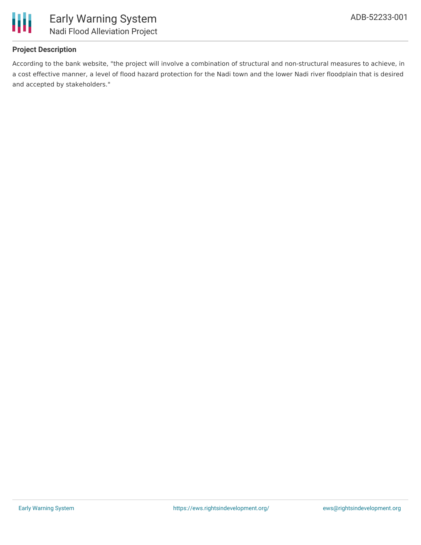

## **Project Description**

According to the bank website, "the project will involve a combination of structural and non-structural measures to achieve, in a cost effective manner, a level of flood hazard protection for the Nadi town and the lower Nadi river floodplain that is desired and accepted by stakeholders."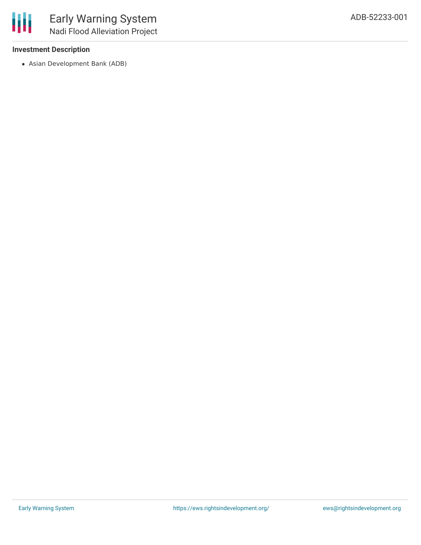# **Investment Description**

Asian Development Bank (ADB)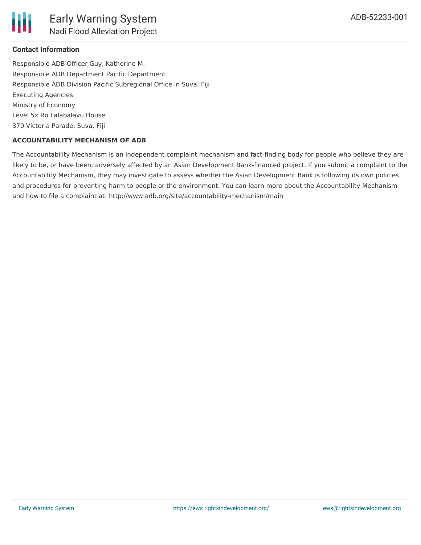

### **Contact Information**

Responsible ADB Officer Guy, Katherine M. Responsible ADB Department Pacific Department Responsible ADB Division Pacific Subregional Office in Suva, Fiji Executing Agencies Ministry of Economy Level 5x Ro Lalabalavu House 370 Victoria Parade, Suva, Fiji

#### **ACCOUNTABILITY MECHANISM OF ADB**

The Accountability Mechanism is an independent complaint mechanism and fact-finding body for people who believe they are likely to be, or have been, adversely affected by an Asian Development Bank-financed project. If you submit a complaint to the Accountability Mechanism, they may investigate to assess whether the Asian Development Bank is following its own policies and procedures for preventing harm to people or the environment. You can learn more about the Accountability Mechanism and how to file a complaint at: http://www.adb.org/site/accountability-mechanism/main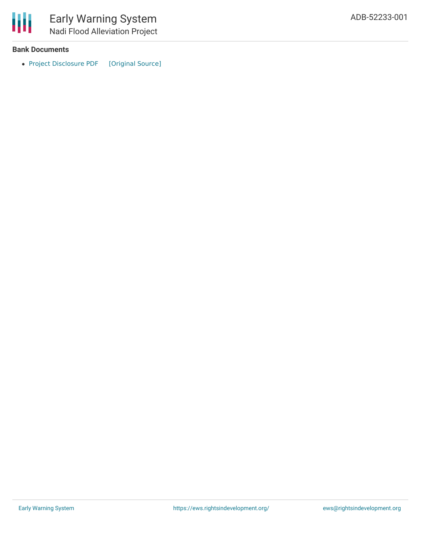

### **Bank Documents**

• Project [Disclosure](https://ewsdata.rightsindevelopment.org/files/documents/01/ADB-52233-001.pdf) PDF [\[Original](https://www.adb.org/printpdf/projects/52233-001/main) Source]